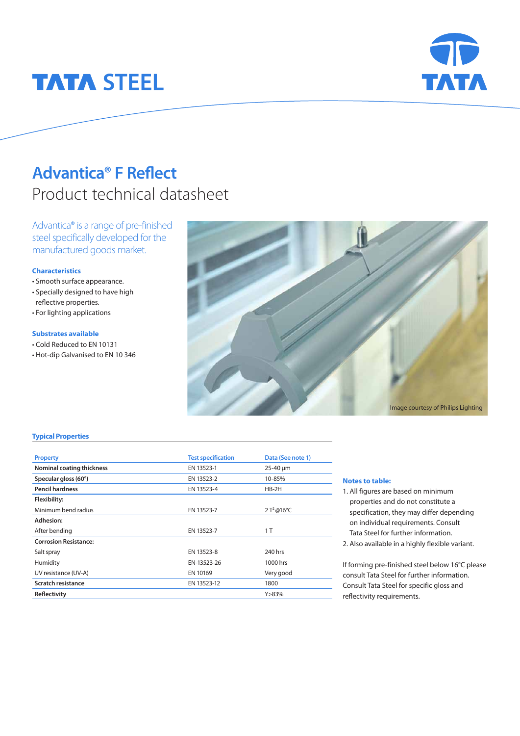# **TATA STEEL**



## **Advantica® F Reflect**  Product technical datasheet

Advantica® is a range of pre-finished steel specifically developed for the manufactured goods market.

#### **Characteristics**

- Smooth surface appearance.
- Specially designed to have high reflective properties.
- For lighting applications

#### **Substrates available**

- Cold Reduced to EN 10131
- Hot-dip Galvanised to EN 10 346



### **Typical Properties**

| <b>Property</b>              | <b>Test specification</b> | Data (See note 1) |
|------------------------------|---------------------------|-------------------|
| Nominal coating thickness    | EN 13523-1                | $25 - 40 \mu m$   |
| Specular gloss (60°)         | EN 13523-2                | 10-85%            |
| <b>Pencil hardness</b>       | EN 13523-4                | $HB-2H$           |
| Flexibility:                 |                           |                   |
| Minimum bend radius          | EN 13523-7                | $2T^{2}@16°C$     |
| Adhesion:                    |                           |                   |
| After bending                | EN 13523-7                | 1 T               |
| <b>Corrosion Resistance:</b> |                           |                   |
| Salt spray                   | EN 13523-8                | 240 hrs           |
| Humidity                     | EN-13523-26               | 1000 hrs          |
| UV resistance (UV-A)         | EN 10169                  | Very good         |
| Scratch resistance           | EN 13523-12               | 1800              |
| Reflectivity                 |                           | Y > 83%           |

### **Notes to table:**

- 1. All figures are based on minimum properties and do not constitute a specification, they may differ depending on individual requirements. Consult Tata Steel for further information.
- 2. Also available in a highly flexible variant.

If forming pre-finished steel below 16°C please consult Tata Steel for further information. Consult Tata Steel for specific gloss and reflectivity requirements.